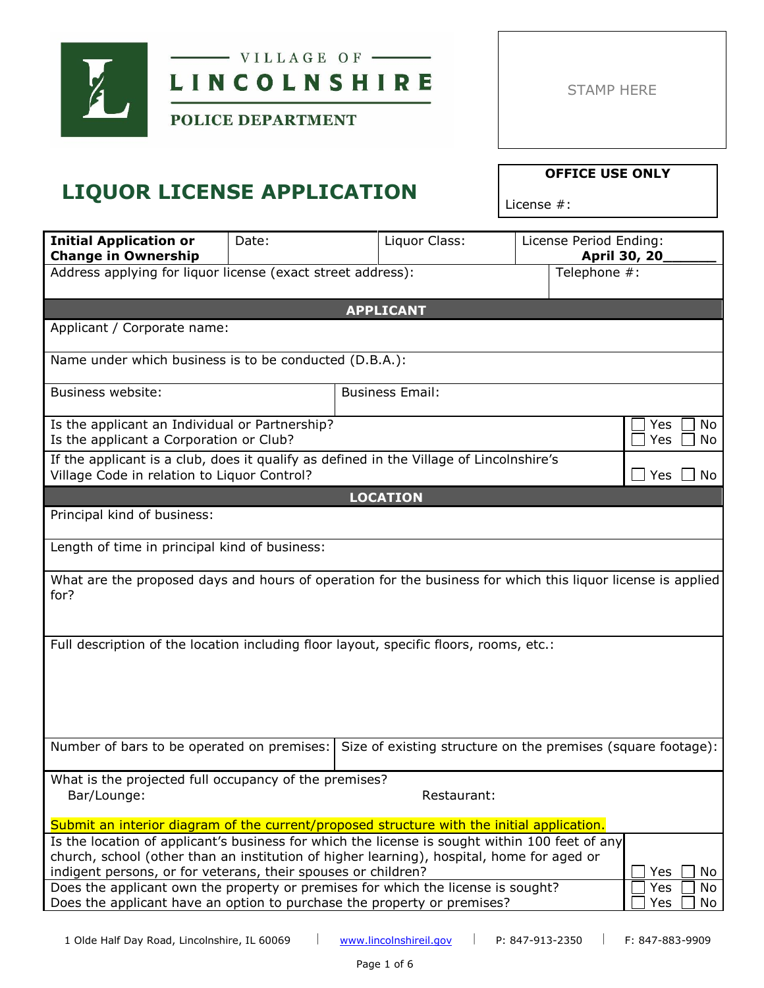

 $-$  VILLAGE OF  $-$ LINCOLNSHIRE

POLICE DEPARTMENT

## **LIQUOR LICENSE APPLICATION**

License #:

| <b>Initial Application or</b><br><b>Change in Ownership</b>                                                                                                                                                                                                               | Date: | Liquor Class:                                                | License Period Ending:      | April 30, 20           |
|---------------------------------------------------------------------------------------------------------------------------------------------------------------------------------------------------------------------------------------------------------------------------|-------|--------------------------------------------------------------|-----------------------------|------------------------|
| Address applying for liquor license (exact street address):                                                                                                                                                                                                               |       |                                                              |                             | Telephone #:           |
|                                                                                                                                                                                                                                                                           |       | <b>APPLICANT</b>                                             |                             |                        |
| Applicant / Corporate name:                                                                                                                                                                                                                                               |       |                                                              |                             |                        |
| Name under which business is to be conducted (D.B.A.):                                                                                                                                                                                                                    |       |                                                              |                             |                        |
| <b>Business website:</b>                                                                                                                                                                                                                                                  |       | <b>Business Email:</b>                                       |                             |                        |
| Is the applicant an Individual or Partnership?<br>Is the applicant a Corporation or Club?                                                                                                                                                                                 |       |                                                              |                             | No<br>Yes<br>Yes<br>No |
| If the applicant is a club, does it qualify as defined in the Village of Lincolnshire's<br>Village Code in relation to Liquor Control?                                                                                                                                    |       |                                                              | $\blacksquare$<br>Yes<br>No |                        |
|                                                                                                                                                                                                                                                                           |       | <b>LOCATION</b>                                              |                             |                        |
| Principal kind of business:                                                                                                                                                                                                                                               |       |                                                              |                             |                        |
| Length of time in principal kind of business:                                                                                                                                                                                                                             |       |                                                              |                             |                        |
| What are the proposed days and hours of operation for the business for which this liquor license is applied<br>for?                                                                                                                                                       |       |                                                              |                             |                        |
| Full description of the location including floor layout, specific floors, rooms, etc.:                                                                                                                                                                                    |       |                                                              |                             |                        |
|                                                                                                                                                                                                                                                                           |       |                                                              |                             |                        |
|                                                                                                                                                                                                                                                                           |       |                                                              |                             |                        |
|                                                                                                                                                                                                                                                                           |       |                                                              |                             |                        |
| Number of bars to be operated on premises:                                                                                                                                                                                                                                |       | Size of existing structure on the premises (square footage): |                             |                        |
| What is the projected full occupancy of the premises?<br>Bar/Lounge:                                                                                                                                                                                                      |       | Restaurant:                                                  |                             |                        |
| Submit an interior diagram of the current/proposed structure with the initial application.                                                                                                                                                                                |       |                                                              |                             |                        |
| Is the location of applicant's business for which the license is sought within 100 feet of any<br>church, school (other than an institution of higher learning), hospital, home for aged or<br>indigent persons, or for veterans, their spouses or children?<br>Yes<br>No |       |                                                              |                             |                        |
| Does the applicant own the property or premises for which the license is sought?<br>Yes<br>Does the applicant have an option to purchase the property or premises?<br>Yes                                                                                                 |       |                                                              |                             | No<br>No               |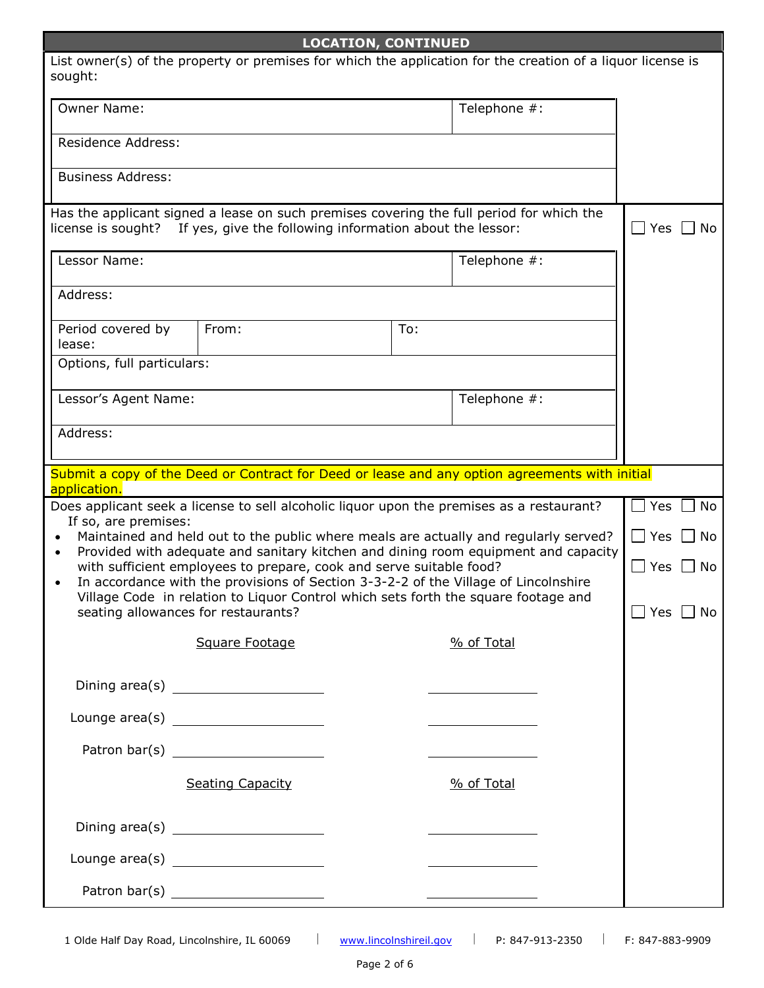| <b>LOCATION, CONTINUED</b>                                                                                                                                                                                                                                                                                                                                                            |     |                                         |  |                     |    |
|---------------------------------------------------------------------------------------------------------------------------------------------------------------------------------------------------------------------------------------------------------------------------------------------------------------------------------------------------------------------------------------|-----|-----------------------------------------|--|---------------------|----|
| List owner(s) of the property or premises for which the application for the creation of a liquor license is<br>sought:                                                                                                                                                                                                                                                                |     |                                         |  |                     |    |
| <b>Owner Name:</b>                                                                                                                                                                                                                                                                                                                                                                    |     | Telephone #:                            |  |                     |    |
| <b>Residence Address:</b>                                                                                                                                                                                                                                                                                                                                                             |     |                                         |  |                     |    |
| <b>Business Address:</b>                                                                                                                                                                                                                                                                                                                                                              |     |                                         |  |                     |    |
| Has the applicant signed a lease on such premises covering the full period for which the<br>license is sought? If yes, give the following information about the lessor:                                                                                                                                                                                                               |     |                                         |  | $\Box$ Yes $\,\Box$ | No |
| Lessor Name:                                                                                                                                                                                                                                                                                                                                                                          |     | Telephone #:                            |  |                     |    |
| Address:                                                                                                                                                                                                                                                                                                                                                                              |     |                                         |  |                     |    |
| Period covered by<br>From:<br>lease:                                                                                                                                                                                                                                                                                                                                                  | To: |                                         |  |                     |    |
| Options, full particulars:                                                                                                                                                                                                                                                                                                                                                            |     |                                         |  |                     |    |
| Lessor's Agent Name:                                                                                                                                                                                                                                                                                                                                                                  |     | Telephone #:                            |  |                     |    |
| Address:                                                                                                                                                                                                                                                                                                                                                                              |     |                                         |  |                     |    |
| Submit a copy of the Deed or Contract for Deed or lease and any option agreements with initial<br>application.                                                                                                                                                                                                                                                                        |     |                                         |  |                     |    |
| Does applicant seek a license to sell alcoholic liquor upon the premises as a restaurant?                                                                                                                                                                                                                                                                                             |     |                                         |  | Yes                 | No |
| If so, are premises:<br>Maintained and held out to the public where meals are actually and regularly served?                                                                                                                                                                                                                                                                          |     |                                         |  | $\Box$ Yes          | No |
| Provided with adequate and sanitary kitchen and dining room equipment and capacity<br>with sufficient employees to prepare, cook and serve suitable food?<br>In accordance with the provisions of Section 3-3-2-2 of the Village of Lincolnshire                                                                                                                                      |     |                                         |  | $\Box$<br>Yes       | No |
| Village Code in relation to Liquor Control which sets forth the square footage and<br>seating allowances for restaurants?<br>Yes                                                                                                                                                                                                                                                      |     |                                         |  | No                  |    |
| Square Footage                                                                                                                                                                                                                                                                                                                                                                        |     | % of Total                              |  |                     |    |
| Dining area(s) $\frac{1}{\sqrt{1-\frac{1}{2}}}\left\{ \frac{1}{2}+\frac{1}{2}+\frac{1}{2}+\frac{1}{2}+\frac{1}{2}+\frac{1}{2}+\frac{1}{2}+\frac{1}{2}+\frac{1}{2}+\frac{1}{2}+\frac{1}{2}+\frac{1}{2}+\frac{1}{2}+\frac{1}{2}+\frac{1}{2}+\frac{1}{2}+\frac{1}{2}+\frac{1}{2}+\frac{1}{2}+\frac{1}{2}+\frac{1}{2}+\frac{1}{2}+\frac{1}{2}+\frac{1}{2}+\frac{1}{2}+\frac{1}{2}+\frac{$ |     |                                         |  |                     |    |
|                                                                                                                                                                                                                                                                                                                                                                                       |     |                                         |  |                     |    |
|                                                                                                                                                                                                                                                                                                                                                                                       |     | <u> 1989 - Johann Barbara, martxa a</u> |  |                     |    |
| <b>Seating Capacity</b>                                                                                                                                                                                                                                                                                                                                                               |     | % of Total                              |  |                     |    |
|                                                                                                                                                                                                                                                                                                                                                                                       |     |                                         |  |                     |    |
|                                                                                                                                                                                                                                                                                                                                                                                       |     |                                         |  |                     |    |
|                                                                                                                                                                                                                                                                                                                                                                                       |     |                                         |  |                     |    |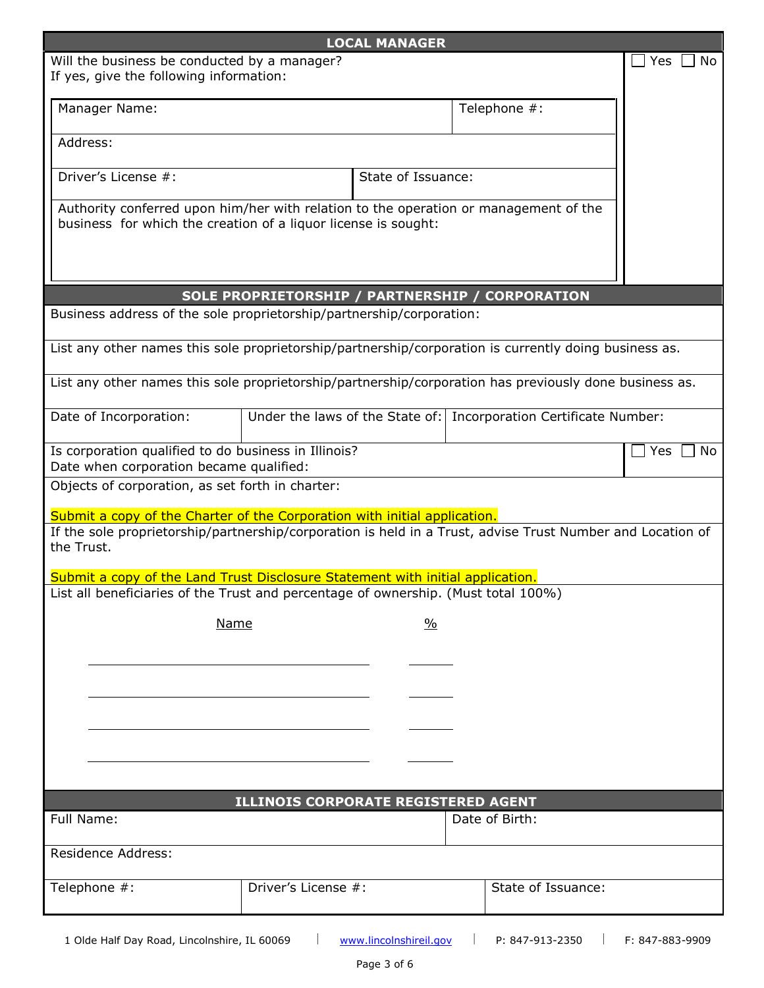| <b>LOCAL MANAGER</b>                                                                                                                                   |                                     |                    |                                                                     |           |
|--------------------------------------------------------------------------------------------------------------------------------------------------------|-------------------------------------|--------------------|---------------------------------------------------------------------|-----------|
| Will the business be conducted by a manager?<br>If yes, give the following information:                                                                |                                     |                    |                                                                     | Yes<br>No |
| Manager Name:                                                                                                                                          |                                     |                    | Telephone #:                                                        |           |
| Address:                                                                                                                                               |                                     |                    |                                                                     |           |
| Driver's License #:                                                                                                                                    |                                     | State of Issuance: |                                                                     |           |
| Authority conferred upon him/her with relation to the operation or management of the<br>business for which the creation of a liquor license is sought: |                                     |                    |                                                                     |           |
|                                                                                                                                                        |                                     |                    | SOLE PROPRIETORSHIP / PARTNERSHIP / CORPORATION                     |           |
| Business address of the sole proprietorship/partnership/corporation:                                                                                   |                                     |                    |                                                                     |           |
| List any other names this sole proprietorship/partnership/corporation is currently doing business as.                                                  |                                     |                    |                                                                     |           |
| List any other names this sole proprietorship/partnership/corporation has previously done business as.                                                 |                                     |                    |                                                                     |           |
| Date of Incorporation:                                                                                                                                 |                                     |                    | Under the laws of the State of:   Incorporation Certificate Number: |           |
| Is corporation qualified to do business in Illinois?<br>Date when corporation became qualified:                                                        |                                     |                    |                                                                     | Yes<br>No |
| Objects of corporation, as set forth in charter:                                                                                                       |                                     |                    |                                                                     |           |
| Submit a copy of the Charter of the Corporation with initial application.                                                                              |                                     |                    |                                                                     |           |
| If the sole proprietorship/partnership/corporation is held in a Trust, advise Trust Number and Location of<br>the Trust.                               |                                     |                    |                                                                     |           |
| Submit a copy of the Land Trust Disclosure Statement with initial application.                                                                         |                                     |                    |                                                                     |           |
| List all beneficiaries of the Trust and percentage of ownership. (Must total 100%)                                                                     |                                     |                    |                                                                     |           |
| <b>Name</b>                                                                                                                                            |                                     | $\frac{0}{0}$      |                                                                     |           |
|                                                                                                                                                        |                                     |                    |                                                                     |           |
|                                                                                                                                                        |                                     |                    |                                                                     |           |
|                                                                                                                                                        |                                     |                    |                                                                     |           |
|                                                                                                                                                        |                                     |                    |                                                                     |           |
|                                                                                                                                                        | ILLINOIS CORPORATE REGISTERED AGENT |                    |                                                                     |           |
| Full Name:                                                                                                                                             |                                     |                    | Date of Birth:                                                      |           |
| <b>Residence Address:</b>                                                                                                                              |                                     |                    |                                                                     |           |
| Telephone #:                                                                                                                                           | Driver's License #:                 |                    | State of Issuance:                                                  |           |
|                                                                                                                                                        |                                     |                    |                                                                     |           |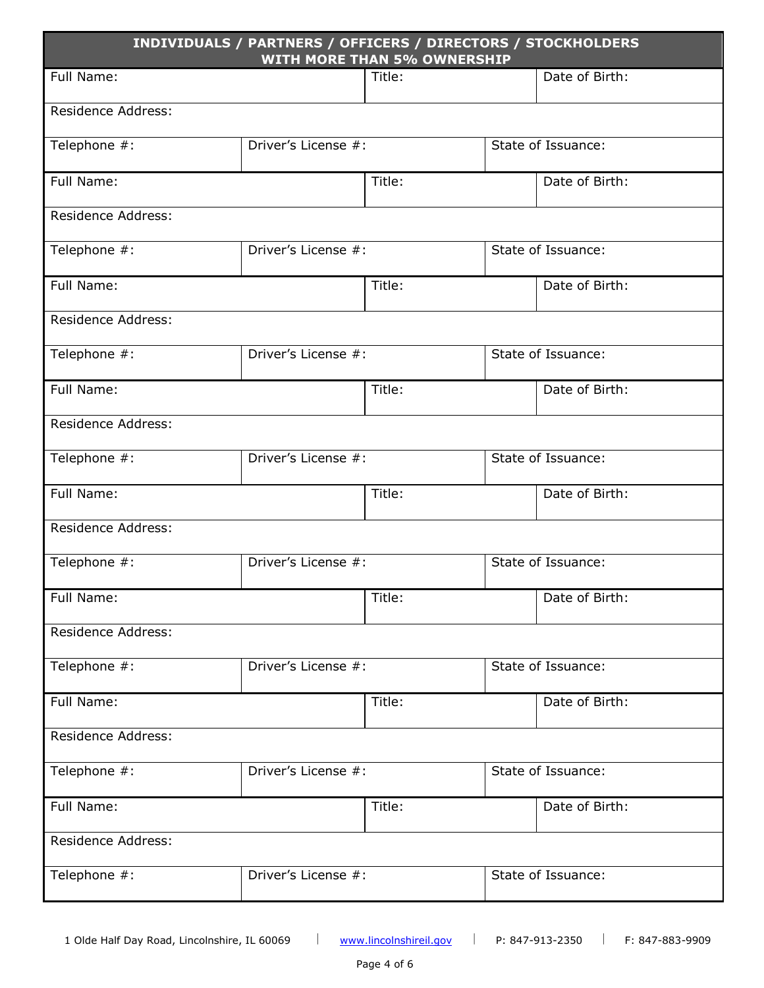| INDIVIDUALS / PARTNERS / OFFICERS / DIRECTORS / STOCKHOLDERS<br><b>WITH MORE THAN 5% OWNERSHIP</b> |                     |        |                    |                    |
|----------------------------------------------------------------------------------------------------|---------------------|--------|--------------------|--------------------|
| Full Name:                                                                                         |                     | Title: |                    | Date of Birth:     |
| <b>Residence Address:</b>                                                                          |                     |        |                    |                    |
| Telephone #:                                                                                       | Driver's License #: |        |                    | State of Issuance: |
| Full Name:                                                                                         |                     | Title: |                    | Date of Birth:     |
| Residence Address:                                                                                 |                     |        |                    |                    |
| Telephone #:                                                                                       | Driver's License #: |        | State of Issuance: |                    |
| Full Name:                                                                                         |                     | Title: |                    | Date of Birth:     |
| <b>Residence Address:</b>                                                                          |                     |        |                    |                    |
| Telephone #:                                                                                       | Driver's License #: |        |                    | State of Issuance: |
| Full Name:                                                                                         |                     | Title: |                    | Date of Birth:     |
| <b>Residence Address:</b>                                                                          |                     |        |                    |                    |
| Telephone #:                                                                                       | Driver's License #: |        | State of Issuance: |                    |
| Full Name:                                                                                         |                     | Title: | Date of Birth:     |                    |
| <b>Residence Address:</b>                                                                          |                     |        |                    |                    |
| Telephone #:                                                                                       | Driver's License #: |        | State of Issuance: |                    |
| Full Name:                                                                                         |                     | Title: | Date of Birth:     |                    |
| <b>Residence Address:</b>                                                                          |                     |        |                    |                    |
| Telephone #:                                                                                       | Driver's License #: |        | State of Issuance: |                    |
| Full Name:                                                                                         | Title:              |        |                    | Date of Birth:     |
| <b>Residence Address:</b>                                                                          |                     |        |                    |                    |
| Telephone #:                                                                                       | Driver's License #: |        |                    | State of Issuance: |
| Full Name:                                                                                         | Title:              |        |                    | Date of Birth:     |
| <b>Residence Address:</b>                                                                          |                     |        |                    |                    |
| Telephone #:                                                                                       | Driver's License #: |        | State of Issuance: |                    |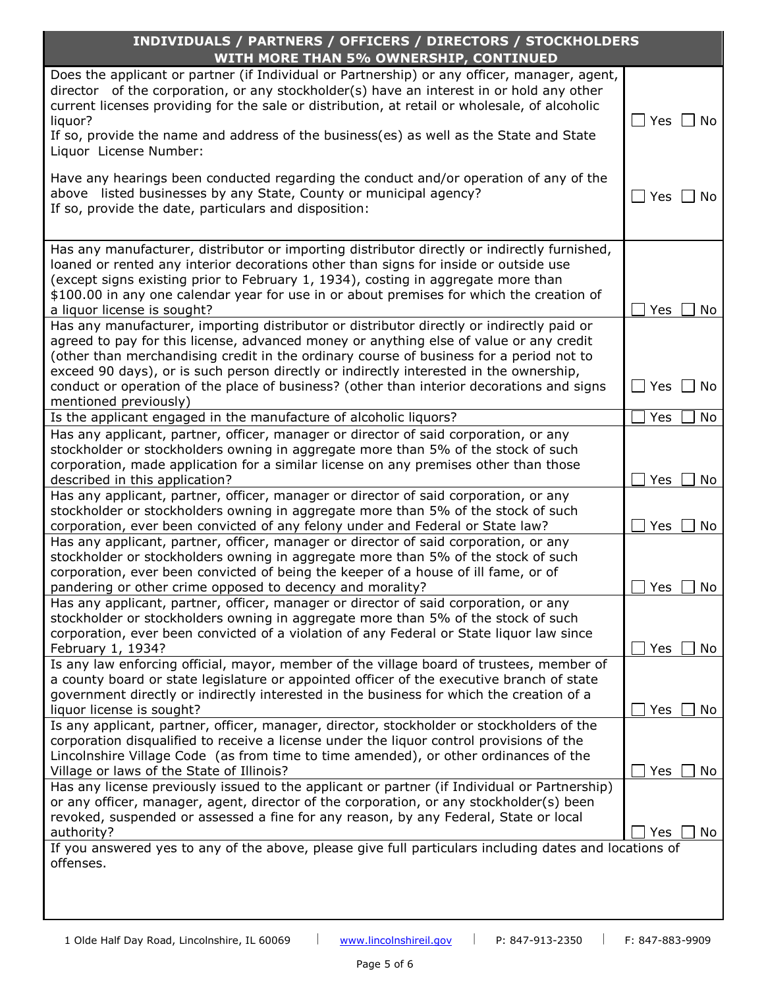| INDIVIDUALS / PARTNERS / OFFICERS / DIRECTORS / STOCKHOLDERS                                                                                                                                                                                                                                                                                                                                                                                                                                   |                                            |  |
|------------------------------------------------------------------------------------------------------------------------------------------------------------------------------------------------------------------------------------------------------------------------------------------------------------------------------------------------------------------------------------------------------------------------------------------------------------------------------------------------|--------------------------------------------|--|
| WITH MORE THAN 5% OWNERSHIP, CONTINUED                                                                                                                                                                                                                                                                                                                                                                                                                                                         |                                            |  |
| Does the applicant or partner (if Individual or Partnership) or any officer, manager, agent,<br>director of the corporation, or any stockholder(s) have an interest in or hold any other<br>current licenses providing for the sale or distribution, at retail or wholesale, of alcoholic<br>liquor?<br>If so, provide the name and address of the business(es) as well as the State and State<br>Liquor License Number:                                                                       | $Yes \mid No$                              |  |
| Have any hearings been conducted regarding the conduct and/or operation of any of the<br>above listed businesses by any State, County or municipal agency?<br>If so, provide the date, particulars and disposition:                                                                                                                                                                                                                                                                            | Yes<br>No                                  |  |
| Has any manufacturer, distributor or importing distributor directly or indirectly furnished,<br>loaned or rented any interior decorations other than signs for inside or outside use<br>(except signs existing prior to February 1, 1934), costing in aggregate more than<br>\$100.00 in any one calendar year for use in or about premises for which the creation of<br>a liquor license is sought?                                                                                           | Yes<br>No                                  |  |
| Has any manufacturer, importing distributor or distributor directly or indirectly paid or<br>agreed to pay for this license, advanced money or anything else of value or any credit<br>(other than merchandising credit in the ordinary course of business for a period not to<br>exceed 90 days), or is such person directly or indirectly interested in the ownership,<br>conduct or operation of the place of business? (other than interior decorations and signs<br>mentioned previously) | Yes<br>$\blacksquare$ No<br>$\blacksquare$ |  |
| Is the applicant engaged in the manufacture of alcoholic liquors?                                                                                                                                                                                                                                                                                                                                                                                                                              | No<br>Yes                                  |  |
| Has any applicant, partner, officer, manager or director of said corporation, or any<br>stockholder or stockholders owning in aggregate more than 5% of the stock of such<br>corporation, made application for a similar license on any premises other than those<br>described in this application?                                                                                                                                                                                            | Yes<br>No                                  |  |
| Has any applicant, partner, officer, manager or director of said corporation, or any<br>stockholder or stockholders owning in aggregate more than 5% of the stock of such<br>corporation, ever been convicted of any felony under and Federal or State law?                                                                                                                                                                                                                                    | No<br>Yes                                  |  |
| Has any applicant, partner, officer, manager or director of said corporation, or any<br>stockholder or stockholders owning in aggregate more than 5% of the stock of such<br>corporation, ever been convicted of being the keeper of a house of ill fame, or of<br>pandering or other crime opposed to decency and morality?                                                                                                                                                                   | <b>Yes</b><br>No                           |  |
| Has any applicant, partner, officer, manager or director of said corporation, or any<br>stockholder or stockholders owning in aggregate more than 5% of the stock of such<br>corporation, ever been convicted of a violation of any Federal or State liquor law since<br>February 1, 1934?                                                                                                                                                                                                     | No<br>Yes                                  |  |
| Is any law enforcing official, mayor, member of the village board of trustees, member of<br>a county board or state legislature or appointed officer of the executive branch of state<br>government directly or indirectly interested in the business for which the creation of a<br>liquor license is sought?                                                                                                                                                                                 | No<br>Yes                                  |  |
| Is any applicant, partner, officer, manager, director, stockholder or stockholders of the<br>corporation disqualified to receive a license under the liquor control provisions of the<br>Lincolnshire Village Code (as from time to time amended), or other ordinances of the<br>Village or laws of the State of Illinois?                                                                                                                                                                     | Yes<br>No                                  |  |
| Has any license previously issued to the applicant or partner (if Individual or Partnership)<br>or any officer, manager, agent, director of the corporation, or any stockholder(s) been<br>revoked, suspended or assessed a fine for any reason, by any Federal, State or local<br>authority?<br>If you answered yes to any of the above, please give full particulars including dates and locations of                                                                                        | No<br>Yes                                  |  |
| offenses.                                                                                                                                                                                                                                                                                                                                                                                                                                                                                      |                                            |  |